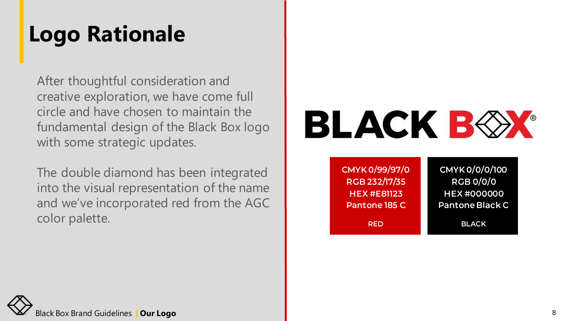### **Logo Rationale**

After thoughtful consideration and creative exploration, we have come full circle and have chosen to maintain the fundamental design of the Black Box logo with some strategic updates.

The double diamond has been integrated into the visual representation of the name and we've incorporated red from the AGC color palette.

# **BLACK BOX**

| <b>CMYK0/99/97/0</b> | <b>CMYK0/0/0/100</b>   |
|----------------------|------------------------|
| RGB 232/17/35        | <b>RGB 0/0/0</b>       |
| <b>HEX #E81123</b>   | <b>HEX#000000</b>      |
| <b>Pantone 185 C</b> | <b>Pantone Black C</b> |
| <b>RED</b>           | <b>BLACK</b>           |

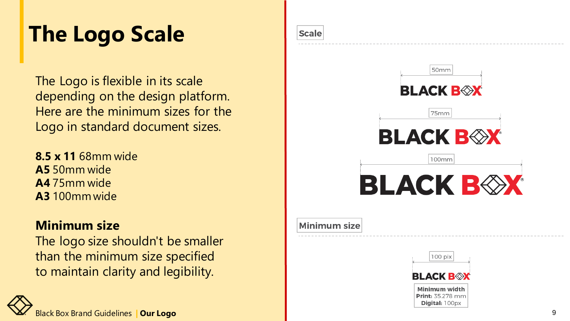### **The Logo Scale**

The Logo is flexible in its scale depending on the design platform. Here are the minimum sizes for the Logo in standard document sizes.

**8.5 x 11** 68mm wide **A5** 50mm wide **A4** 75mm wide **A3** 100mm wide

#### **Minimum size**

The logo size shouldn't be smaller than the minimum size specified to maintain clarity and legibility.





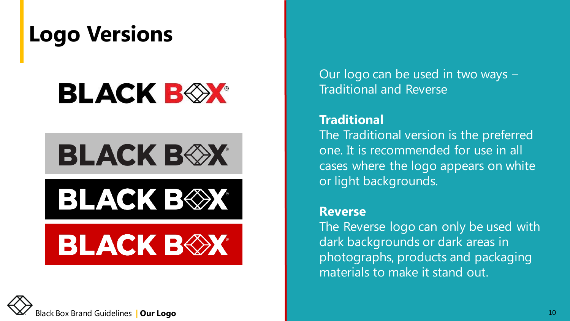### **Logo Versions**

## **BLACK BOX**

## **BLACK BOX**

## **BLACK B** $\otimes$ **X**

## **BLACK BEX**



Our logo can be used in two ways – Traditional and Reverse

#### **Traditional**

The Traditional version is the preferred one. It is recommended for use in all cases where the logo appears on white or light backgrounds.

#### **Reverse**

The Reverse logo can only be used with dark backgrounds or dark areas in photographs, products and packaging materials to make it stand out.